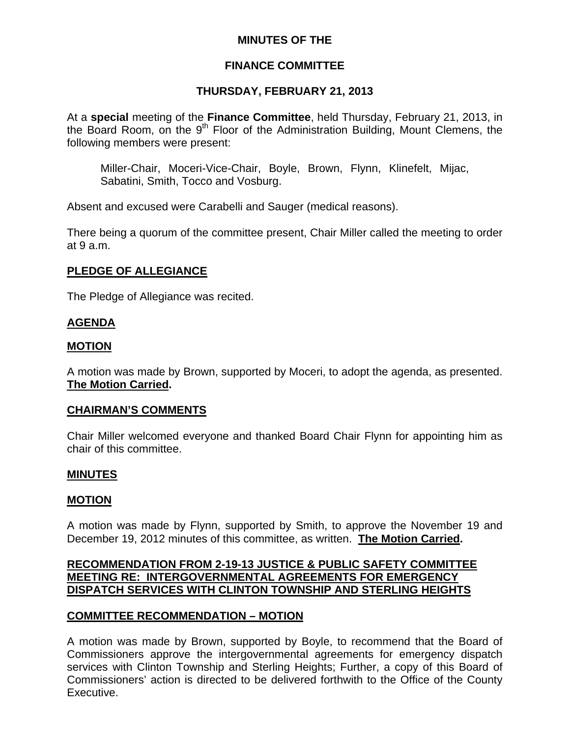# **MINUTES OF THE**

# **FINANCE COMMITTEE**

# **THURSDAY, FEBRUARY 21, 2013**

At a **special** meeting of the **Finance Committee**, held Thursday, February 21, 2013, in the Board Room, on the  $9<sup>th</sup>$  Floor of the Administration Building, Mount Clemens, the following members were present:

Miller-Chair, Moceri-Vice-Chair, Boyle, Brown, Flynn, Klinefelt, Mijac, Sabatini, Smith, Tocco and Vosburg.

Absent and excused were Carabelli and Sauger (medical reasons).

There being a quorum of the committee present, Chair Miller called the meeting to order at 9 a.m.

# **PLEDGE OF ALLEGIANCE**

The Pledge of Allegiance was recited.

## **AGENDA**

## **MOTION**

A motion was made by Brown, supported by Moceri, to adopt the agenda, as presented. **The Motion Carried.** 

## **CHAIRMAN'S COMMENTS**

Chair Miller welcomed everyone and thanked Board Chair Flynn for appointing him as chair of this committee.

## **MINUTES**

## **MOTION**

A motion was made by Flynn, supported by Smith, to approve the November 19 and December 19, 2012 minutes of this committee, as written. **The Motion Carried.** 

# **RECOMMENDATION FROM 2-19-13 JUSTICE & PUBLIC SAFETY COMMITTEE MEETING RE: INTERGOVERNMENTAL AGREEMENTS FOR EMERGENCY DISPATCH SERVICES WITH CLINTON TOWNSHIP AND STERLING HEIGHTS**

## **COMMITTEE RECOMMENDATION – MOTION**

A motion was made by Brown, supported by Boyle, to recommend that the Board of Commissioners approve the intergovernmental agreements for emergency dispatch services with Clinton Township and Sterling Heights; Further, a copy of this Board of Commissioners' action is directed to be delivered forthwith to the Office of the County Executive.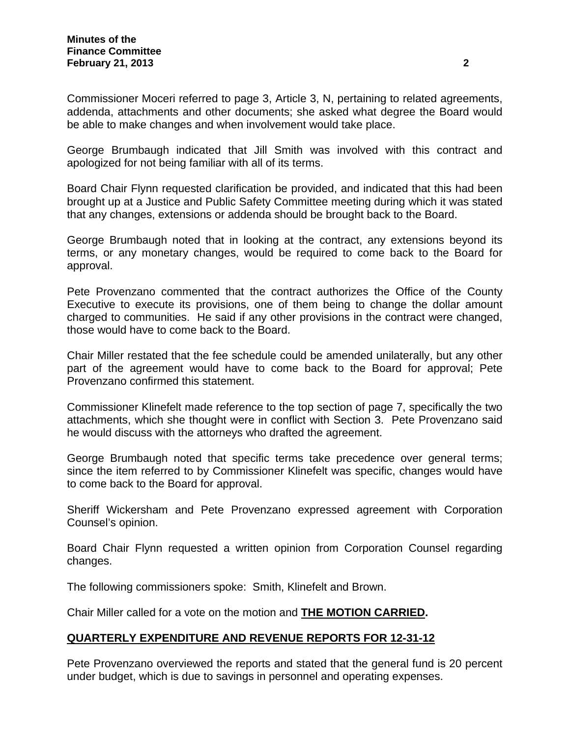Commissioner Moceri referred to page 3, Article 3, N, pertaining to related agreements, addenda, attachments and other documents; she asked what degree the Board would be able to make changes and when involvement would take place.

George Brumbaugh indicated that Jill Smith was involved with this contract and apologized for not being familiar with all of its terms.

Board Chair Flynn requested clarification be provided, and indicated that this had been brought up at a Justice and Public Safety Committee meeting during which it was stated that any changes, extensions or addenda should be brought back to the Board.

George Brumbaugh noted that in looking at the contract, any extensions beyond its terms, or any monetary changes, would be required to come back to the Board for approval.

Pete Provenzano commented that the contract authorizes the Office of the County Executive to execute its provisions, one of them being to change the dollar amount charged to communities. He said if any other provisions in the contract were changed, those would have to come back to the Board.

Chair Miller restated that the fee schedule could be amended unilaterally, but any other part of the agreement would have to come back to the Board for approval; Pete Provenzano confirmed this statement.

Commissioner Klinefelt made reference to the top section of page 7, specifically the two attachments, which she thought were in conflict with Section 3. Pete Provenzano said he would discuss with the attorneys who drafted the agreement.

George Brumbaugh noted that specific terms take precedence over general terms; since the item referred to by Commissioner Klinefelt was specific, changes would have to come back to the Board for approval.

Sheriff Wickersham and Pete Provenzano expressed agreement with Corporation Counsel's opinion.

Board Chair Flynn requested a written opinion from Corporation Counsel regarding changes.

The following commissioners spoke: Smith, Klinefelt and Brown.

Chair Miller called for a vote on the motion and **THE MOTION CARRIED.** 

# **QUARTERLY EXPENDITURE AND REVENUE REPORTS FOR 12-31-12**

Pete Provenzano overviewed the reports and stated that the general fund is 20 percent under budget, which is due to savings in personnel and operating expenses.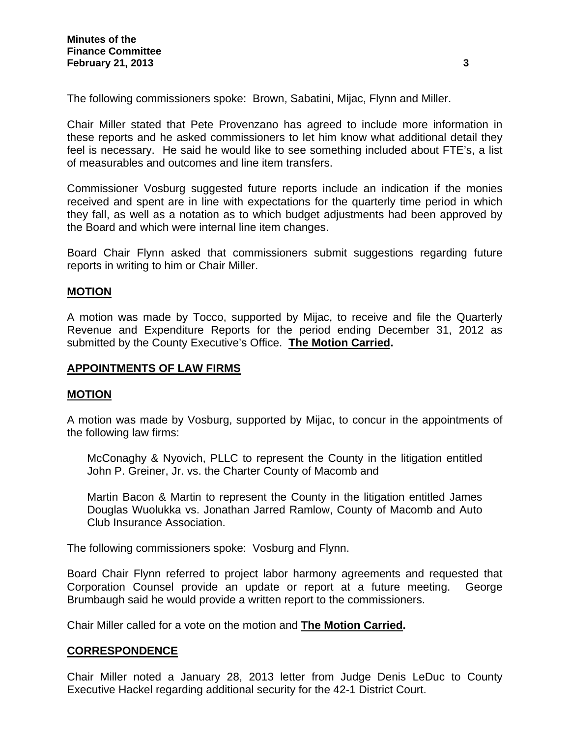The following commissioners spoke: Brown, Sabatini, Mijac, Flynn and Miller.

Chair Miller stated that Pete Provenzano has agreed to include more information in these reports and he asked commissioners to let him know what additional detail they feel is necessary. He said he would like to see something included about FTE's, a list of measurables and outcomes and line item transfers.

Commissioner Vosburg suggested future reports include an indication if the monies received and spent are in line with expectations for the quarterly time period in which they fall, as well as a notation as to which budget adjustments had been approved by the Board and which were internal line item changes.

Board Chair Flynn asked that commissioners submit suggestions regarding future reports in writing to him or Chair Miller.

#### **MOTION**

A motion was made by Tocco, supported by Mijac, to receive and file the Quarterly Revenue and Expenditure Reports for the period ending December 31, 2012 as submitted by the County Executive's Office. **The Motion Carried.** 

#### **APPOINTMENTS OF LAW FIRMS**

#### **MOTION**

A motion was made by Vosburg, supported by Mijac, to concur in the appointments of the following law firms:

McConaghy & Nyovich, PLLC to represent the County in the litigation entitled John P. Greiner, Jr. vs. the Charter County of Macomb and

Martin Bacon & Martin to represent the County in the litigation entitled James Douglas Wuolukka vs. Jonathan Jarred Ramlow, County of Macomb and Auto Club Insurance Association.

The following commissioners spoke: Vosburg and Flynn.

Board Chair Flynn referred to project labor harmony agreements and requested that Corporation Counsel provide an update or report at a future meeting. George Brumbaugh said he would provide a written report to the commissioners.

Chair Miller called for a vote on the motion and **The Motion Carried.** 

#### **CORRESPONDENCE**

Chair Miller noted a January 28, 2013 letter from Judge Denis LeDuc to County Executive Hackel regarding additional security for the 42-1 District Court.